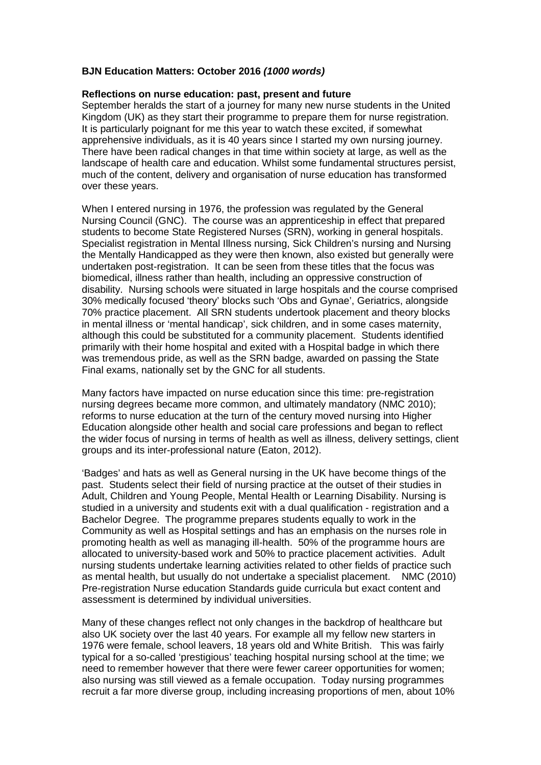## **BJN Education Matters: October 2016** *(1000 words)*

## **Reflections on nurse education: past, present and future**

September heralds the start of a journey for many new nurse students in the United Kingdom (UK) as they start their programme to prepare them for nurse registration. It is particularly poignant for me this year to watch these excited, if somewhat apprehensive individuals, as it is 40 years since I started my own nursing journey. There have been radical changes in that time within society at large, as well as the landscape of health care and education. Whilst some fundamental structures persist, much of the content, delivery and organisation of nurse education has transformed over these years.

When I entered nursing in 1976, the profession was regulated by the General Nursing Council (GNC). The course was an apprenticeship in effect that prepared students to become State Registered Nurses (SRN), working in general hospitals. Specialist registration in Mental Illness nursing, Sick Children's nursing and Nursing the Mentally Handicapped as they were then known, also existed but generally were undertaken post-registration. It can be seen from these titles that the focus was biomedical, illness rather than health, including an oppressive construction of disability. Nursing schools were situated in large hospitals and the course comprised 30% medically focused 'theory' blocks such 'Obs and Gynae', Geriatrics, alongside 70% practice placement. All SRN students undertook placement and theory blocks in mental illness or 'mental handicap', sick children, and in some cases maternity, although this could be substituted for a community placement. Students identified primarily with their home hospital and exited with a Hospital badge in which there was tremendous pride, as well as the SRN badge, awarded on passing the State Final exams, nationally set by the GNC for all students.

Many factors have impacted on nurse education since this time: pre-registration nursing degrees became more common, and ultimately mandatory (NMC 2010); reforms to nurse education at the turn of the century moved nursing into Higher Education alongside other health and social care professions and began to reflect the wider focus of nursing in terms of health as well as illness, delivery settings, client groups and its inter-professional nature (Eaton, 2012).

'Badges' and hats as well as General nursing in the UK have become things of the past. Students select their field of nursing practice at the outset of their studies in Adult, Children and Young People, Mental Health or Learning Disability. Nursing is studied in a university and students exit with a dual qualification - registration and a Bachelor Degree. The programme prepares students equally to work in the Community as well as Hospital settings and has an emphasis on the nurses role in promoting health as well as managing ill-health. 50% of the programme hours are allocated to university-based work and 50% to practice placement activities. Adult nursing students undertake learning activities related to other fields of practice such as mental health, but usually do not undertake a specialist placement. NMC (2010) Pre-registration Nurse education Standards guide curricula but exact content and assessment is determined by individual universities.

Many of these changes reflect not only changes in the backdrop of healthcare but also UK society over the last 40 years. For example all my fellow new starters in 1976 were female, school leavers, 18 years old and White British. This was fairly typical for a so-called 'prestigious' teaching hospital nursing school at the time; we need to remember however that there were fewer career opportunities for women; also nursing was still viewed as a female occupation. Today nursing programmes recruit a far more diverse group, including increasing proportions of men, about 10%